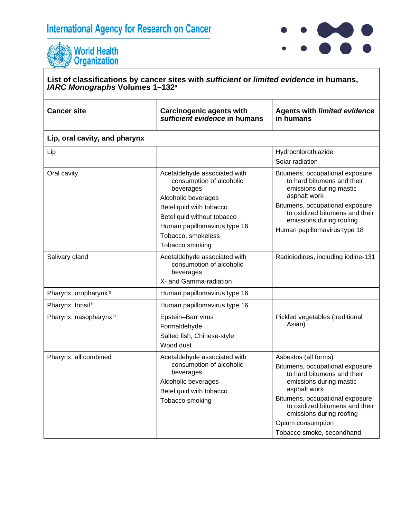# **International Agency for Research on Cancer**



Tobacco smoke, secondhand



#### **List of classifications by cancer sites with** *sufficient* **or** *limited evidence* **in humans,**  *IARC Monographs* **Volumes 1–132a Cancer site Carcinogenic agents with**  *sufficient evidence* **in humans Agents with** *limited evidence* **in humans Lip, oral cavity, and pharynx** Lip Hydrochlorothiazide Solar radiation Oral cavity **Acetaldehyde** associated with consumption of alcoholic beverages Alcoholic beverages Betel quid with tobacco Betel quid without tobacco Human papillomavirus type 16 Tobacco, smokeless Tobacco smoking Bitumens, occupational exposure to hard bitumens and their emissions during mastic asphalt work Bitumens, occupational exposure to oxidized bitumens and their emissions during roofing Human papillomavirus type 18 Salivary gland **Acetaldehyde associated with** consumption of alcoholic beverages X- and Gamma-radiation Radioiodines, including iodine-131 Pharynx: oropharynx  $\frac{b}{b}$  Human papillomavirus type 16 Pharynx: tonsil b **Human papillomavirus type 16** Pharynx: nasopharynx b **Epstein–Barr virus** Formaldehyde Salted fish, Chinese-style Wood dust Pickled vegetables (traditional Asian) Pharynx: all combined <br>Acetaldehyde associated with consumption of alcoholic beverages Alcoholic beverages Betel quid with tobacco Tobacco smoking Asbestos (all forms) Bitumens, occupational exposure to hard bitumens and their emissions during mastic asphalt work Bitumens, occupational exposure to oxidized bitumens and their emissions during roofing Opium consumption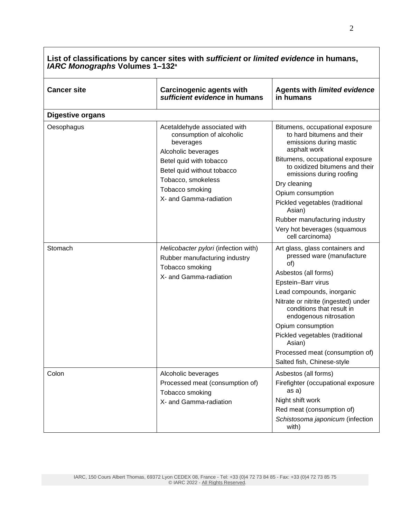| List of classifications by cancer sites with sufficient or limited evidence in humans,<br><b>IARC Monographs Volumes 1-132<sup>a</sup></b> |                                                                                              |                                                                                                                         |
|--------------------------------------------------------------------------------------------------------------------------------------------|----------------------------------------------------------------------------------------------|-------------------------------------------------------------------------------------------------------------------------|
| <b>Cancer site</b>                                                                                                                         | <b>Carcinogenic agents with</b><br>sufficient evidence in humans                             | <b>Agents with limited evidence</b><br>in humans                                                                        |
| <b>Digestive organs</b>                                                                                                                    |                                                                                              |                                                                                                                         |
| Oesophagus                                                                                                                                 | Acetaldehyde associated with<br>consumption of alcoholic<br>beverages<br>Alcoholic beverages | Bitumens, occupational exposure<br>to hard bitumens and their<br>emissions during mastic<br>asphalt work                |
|                                                                                                                                            | Betel quid with tobacco<br>Betel quid without tobacco<br>Tobacco, smokeless                  | Bitumens, occupational exposure<br>to oxidized bitumens and their<br>emissions during roofing                           |
|                                                                                                                                            | Tobacco smoking<br>X- and Gamma-radiation                                                    | Dry cleaning<br>Opium consumption<br>Pickled vegetables (traditional                                                    |
|                                                                                                                                            |                                                                                              | Asian)<br>Rubber manufacturing industry<br>Very hot beverages (squamous<br>cell carcinoma)                              |
| Stomach                                                                                                                                    | Helicobacter pylori (infection with)<br>Rubber manufacturing industry<br>Tobacco smoking     | Art glass, glass containers and<br>pressed ware (manufacture<br>of)                                                     |
|                                                                                                                                            | X- and Gamma-radiation                                                                       | Asbestos (all forms)                                                                                                    |
|                                                                                                                                            |                                                                                              | Epstein-Barr virus                                                                                                      |
|                                                                                                                                            |                                                                                              | Lead compounds, inorganic<br>Nitrate or nitrite (ingested) under<br>conditions that result in<br>endogenous nitrosation |
|                                                                                                                                            |                                                                                              | Opium consumption                                                                                                       |
|                                                                                                                                            |                                                                                              | Pickled vegetables (traditional<br>Asian)                                                                               |
|                                                                                                                                            |                                                                                              | Processed meat (consumption of)                                                                                         |
|                                                                                                                                            |                                                                                              | Salted fish, Chinese-style                                                                                              |
| Colon                                                                                                                                      | Alcoholic beverages<br>Processed meat (consumption of)<br>Tobacco smoking                    | Asbestos (all forms)<br>Firefighter (occupational exposure<br>as a)                                                     |
|                                                                                                                                            | X- and Gamma-radiation                                                                       | Night shift work                                                                                                        |
|                                                                                                                                            |                                                                                              | Red meat (consumption of)<br>Schistosoma japonicum (infection<br>with)                                                  |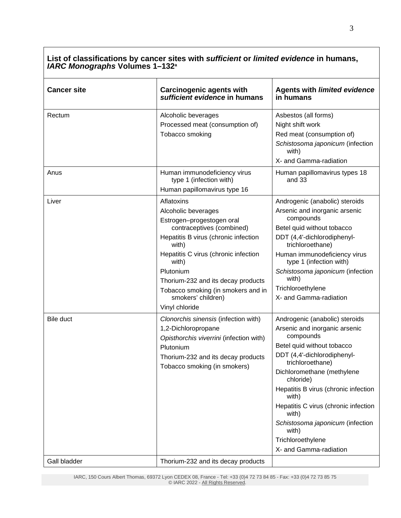| <b>Cancer site</b> | <b>Carcinogenic agents with</b><br>sufficient evidence in humans                                                                                                                                                                                                                                                               | <b>Agents with limited evidence</b><br>in humans                                                                                                                                                                                                                                                                                                                                                       |
|--------------------|--------------------------------------------------------------------------------------------------------------------------------------------------------------------------------------------------------------------------------------------------------------------------------------------------------------------------------|--------------------------------------------------------------------------------------------------------------------------------------------------------------------------------------------------------------------------------------------------------------------------------------------------------------------------------------------------------------------------------------------------------|
| Rectum             | Alcoholic beverages<br>Processed meat (consumption of)<br>Tobacco smoking                                                                                                                                                                                                                                                      | Asbestos (all forms)<br>Night shift work<br>Red meat (consumption of)<br>Schistosoma japonicum (infection<br>with)<br>X- and Gamma-radiation                                                                                                                                                                                                                                                           |
| Anus               | Human immunodeficiency virus<br>type 1 (infection with)<br>Human papillomavirus type 16                                                                                                                                                                                                                                        | Human papillomavirus types 18<br>and 33                                                                                                                                                                                                                                                                                                                                                                |
| Liver              | Aflatoxins<br>Alcoholic beverages<br>Estrogen-progestogen oral<br>contraceptives (combined)<br>Hepatitis B virus (chronic infection<br>with)<br>Hepatitis C virus (chronic infection<br>with)<br>Plutonium<br>Thorium-232 and its decay products<br>Tobacco smoking (in smokers and in<br>smokers' children)<br>Vinyl chloride | Androgenic (anabolic) steroids<br>Arsenic and inorganic arsenic<br>compounds<br>Betel quid without tobacco<br>DDT (4,4'-dichlorodiphenyl-<br>trichloroethane)<br>Human immunodeficiency virus<br>type 1 (infection with)<br>Schistosoma japonicum (infection<br>with)<br>Trichloroethylene<br>X- and Gamma-radiation                                                                                   |
| Bile duct          | Clonorchis sinensis (infection with)<br>1,2-Dichloropropane<br>Opisthorchis viverrini (infection with)<br>Plutonium<br>Thorium-232 and its decay products<br>Tobacco smoking (in smokers)                                                                                                                                      | Androgenic (anabolic) steroids<br>Arsenic and inorganic arsenic<br>compounds<br>Betel quid without tobacco<br>DDT (4,4'-dichlorodiphenyl-<br>trichloroethane)<br>Dichloromethane (methylene<br>chloride)<br>Hepatitis B virus (chronic infection<br>with)<br>Hepatitis C virus (chronic infection<br>with)<br>Schistosoma japonicum (infection<br>with)<br>Trichloroethylene<br>X- and Gamma-radiation |
| Gall bladder       | Thorium-232 and its decay products                                                                                                                                                                                                                                                                                             |                                                                                                                                                                                                                                                                                                                                                                                                        |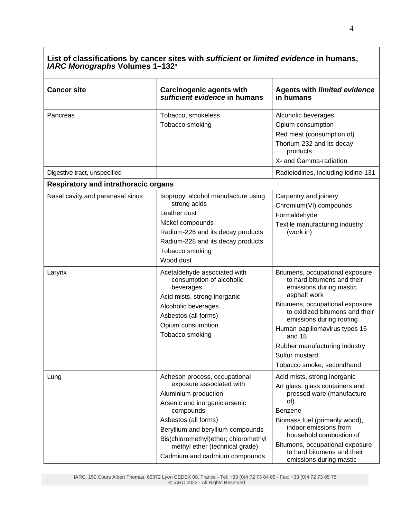| <b>Cancer site</b>                                                              | <b>Carcinogenic agents with</b><br>sufficient evidence in humans                                                                                                                                                                                                                                        | <b>Agents with limited evidence</b><br>in humans                                                                                                                                                                                                                                                                                     |
|---------------------------------------------------------------------------------|---------------------------------------------------------------------------------------------------------------------------------------------------------------------------------------------------------------------------------------------------------------------------------------------------------|--------------------------------------------------------------------------------------------------------------------------------------------------------------------------------------------------------------------------------------------------------------------------------------------------------------------------------------|
| Pancreas<br>Digestive tract, unspecified                                        | Tobacco, smokeless<br>Tobacco smoking                                                                                                                                                                                                                                                                   | Alcoholic beverages<br>Opium consumption<br>Red meat (consumption of)<br>Thorium-232 and its decay<br>products<br>X- and Gamma-radiation<br>Radioiodines, including iodine-131                                                                                                                                                       |
|                                                                                 |                                                                                                                                                                                                                                                                                                         |                                                                                                                                                                                                                                                                                                                                      |
| <b>Respiratory and intrathoracic organs</b><br>Nasal cavity and paranasal sinus | Isopropyl alcohol manufacture using<br>strong acids<br>Leather dust<br>Nickel compounds<br>Radium-226 and its decay products<br>Radium-228 and its decay products<br>Tobacco smoking<br>Wood dust                                                                                                       | Carpentry and joinery<br>Chromium(VI) compounds<br>Formaldehyde<br>Textile manufacturing industry<br>(work in)                                                                                                                                                                                                                       |
| Larynx                                                                          | Acetaldehyde associated with<br>consumption of alcoholic<br>beverages<br>Acid mists, strong inorganic<br>Alcoholic beverages<br>Asbestos (all forms)<br>Opium consumption<br>Tobacco smoking                                                                                                            | Bitumens, occupational exposure<br>to hard bitumens and their<br>emissions during mastic<br>asphalt work<br>Bitumens, occupational exposure<br>to oxidized bitumens and their<br>emissions during roofing<br>Human papillomavirus types 16<br>and 18<br>Rubber manufacturing industry<br>Sulfur mustard<br>Tobacco smoke, secondhand |
| Lung                                                                            | Acheson process, occupational<br>exposure associated with<br>Aluminium production<br>Arsenic and inorganic arsenic<br>compounds<br>Asbestos (all forms)<br>Beryllium and beryllium compounds<br>Bis(chloromethyl)ether; chloromethyl<br>methyl ether (technical grade)<br>Cadmium and cadmium compounds | Acid mists, strong inorganic<br>Art glass, glass containers and<br>pressed ware (manufacture<br>of)<br>Benzene<br>Biomass fuel (primarily wood),<br>indoor emissions from<br>household combustion of<br>Bitumens, occupational exposure<br>to hard bitumens and their<br>emissions during mastic                                     |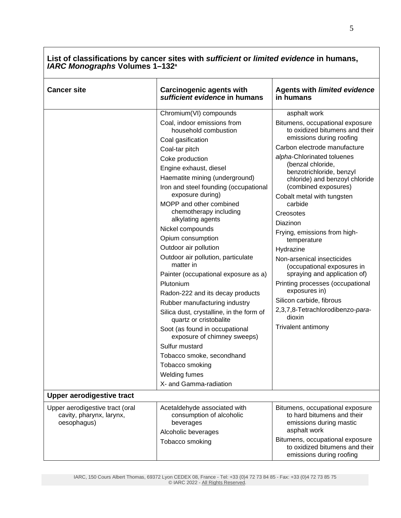| <b>Cancer site</b>                                                         | <b>Carcinogenic agents with</b><br>sufficient evidence in humans                                                 | <b>Agents with limited evidence</b><br>in humans                                                              |
|----------------------------------------------------------------------------|------------------------------------------------------------------------------------------------------------------|---------------------------------------------------------------------------------------------------------------|
|                                                                            | Chromium(VI) compounds                                                                                           | asphalt work                                                                                                  |
|                                                                            | Coal, indoor emissions from<br>household combustion<br>Coal gasification                                         | Bitumens, occupational exposure<br>to oxidized bitumens and their<br>emissions during roofing                 |
|                                                                            | Coal-tar pitch                                                                                                   | Carbon electrode manufacture                                                                                  |
|                                                                            | Coke production<br>Engine exhaust, diesel<br>Haematite mining (underground)                                      | alpha-Chlorinated toluenes<br>(benzal chloride,<br>benzotrichloride, benzyl<br>chloride) and benzoyl chloride |
|                                                                            | Iron and steel founding (occupational<br>exposure during)<br>MOPP and other combined                             | (combined exposures)<br>Cobalt metal with tungsten<br>carbide                                                 |
|                                                                            | chemotherapy including<br>alkylating agents                                                                      | Creosotes<br>Diazinon                                                                                         |
|                                                                            | Nickel compounds<br>Opium consumption                                                                            | Frying, emissions from high-<br>temperature                                                                   |
|                                                                            | Outdoor air pollution<br>Outdoor air pollution, particulate<br>matter in<br>Painter (occupational exposure as a) | Hydrazine<br>Non-arsenical insecticides<br>(occupational exposures in<br>spraying and application of)         |
|                                                                            | Plutonium<br>Radon-222 and its decay products<br>Rubber manufacturing industry                                   | Printing processes (occupational<br>exposures in)<br>Silicon carbide, fibrous                                 |
|                                                                            | Silica dust, crystalline, in the form of<br>quartz or cristobalite                                               | 2,3,7,8-Tetrachlorodibenzo-para-<br>dioxin                                                                    |
|                                                                            | Soot (as found in occupational<br>exposure of chimney sweeps)                                                    | Trivalent antimony                                                                                            |
|                                                                            | Sulfur mustard                                                                                                   |                                                                                                               |
|                                                                            | Tobacco smoke, secondhand                                                                                        |                                                                                                               |
|                                                                            | Tobacco smoking                                                                                                  |                                                                                                               |
|                                                                            | <b>Welding fumes</b>                                                                                             |                                                                                                               |
|                                                                            | X- and Gamma-radiation                                                                                           |                                                                                                               |
| <b>Upper aerodigestive tract</b>                                           |                                                                                                                  |                                                                                                               |
| Upper aerodigestive tract (oral<br>cavity, pharynx, larynx,<br>oesophagus) | Acetaldehyde associated with<br>consumption of alcoholic<br>beverages<br>Alcoholic beverages                     | Bitumens, occupational exposure<br>to hard bitumens and their<br>emissions during mastic<br>asphalt work      |
|                                                                            | Tobacco smoking                                                                                                  | Bitumens, occupational exposure<br>to oxidized bitumens and their<br>emissions during roofing                 |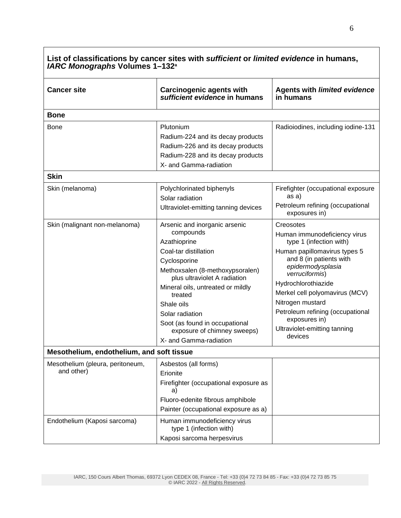| List of classifications by cancer sites with sufficient or limited evidence in humans,<br><b>IARC Monographs Volumes 1-132<sup>a</sup></b> |                                                                                                                                                                                                                                                                                                                                                    |                                                                                                                                                                                                                                                                                                                                                     |
|--------------------------------------------------------------------------------------------------------------------------------------------|----------------------------------------------------------------------------------------------------------------------------------------------------------------------------------------------------------------------------------------------------------------------------------------------------------------------------------------------------|-----------------------------------------------------------------------------------------------------------------------------------------------------------------------------------------------------------------------------------------------------------------------------------------------------------------------------------------------------|
| <b>Cancer site</b>                                                                                                                         | <b>Carcinogenic agents with</b><br>sufficient evidence in humans                                                                                                                                                                                                                                                                                   | <b>Agents with limited evidence</b><br>in humans                                                                                                                                                                                                                                                                                                    |
| <b>Bone</b>                                                                                                                                |                                                                                                                                                                                                                                                                                                                                                    |                                                                                                                                                                                                                                                                                                                                                     |
| Bone                                                                                                                                       | Plutonium<br>Radium-224 and its decay products<br>Radium-226 and its decay products<br>Radium-228 and its decay products<br>X- and Gamma-radiation                                                                                                                                                                                                 | Radioiodines, including iodine-131                                                                                                                                                                                                                                                                                                                  |
| <b>Skin</b>                                                                                                                                |                                                                                                                                                                                                                                                                                                                                                    |                                                                                                                                                                                                                                                                                                                                                     |
| Skin (melanoma)                                                                                                                            | Polychlorinated biphenyls<br>Solar radiation<br>Ultraviolet-emitting tanning devices                                                                                                                                                                                                                                                               | Firefighter (occupational exposure<br>as a)<br>Petroleum refining (occupational<br>exposures in)                                                                                                                                                                                                                                                    |
| Skin (malignant non-melanoma)                                                                                                              | Arsenic and inorganic arsenic<br>compounds<br>Azathioprine<br>Coal-tar distillation<br>Cyclosporine<br>Methoxsalen (8-methoxypsoralen)<br>plus ultraviolet A radiation<br>Mineral oils, untreated or mildly<br>treated<br>Shale oils<br>Solar radiation<br>Soot (as found in occupational<br>exposure of chimney sweeps)<br>X- and Gamma-radiation | Creosotes<br>Human immunodeficiency virus<br>type 1 (infection with)<br>Human papillomavirus types 5<br>and 8 (in patients with<br>epidermodysplasia<br>verruciformis)<br>Hydrochlorothiazide<br>Merkel cell polyomavirus (MCV)<br>Nitrogen mustard<br>Petroleum refining (occupational<br>exposures in)<br>Ultraviolet-emitting tanning<br>devices |
| Mesothelium, endothelium, and soft tissue                                                                                                  |                                                                                                                                                                                                                                                                                                                                                    |                                                                                                                                                                                                                                                                                                                                                     |
| Mesothelium (pleura, peritoneum,<br>and other)                                                                                             | Asbestos (all forms)<br>Erionite<br>Firefighter (occupational exposure as<br>a)<br>Fluoro-edenite fibrous amphibole<br>Painter (occupational exposure as a)                                                                                                                                                                                        |                                                                                                                                                                                                                                                                                                                                                     |
| Endothelium (Kaposi sarcoma)                                                                                                               | Human immunodeficiency virus<br>type 1 (infection with)<br>Kaposi sarcoma herpesvirus                                                                                                                                                                                                                                                              |                                                                                                                                                                                                                                                                                                                                                     |

┑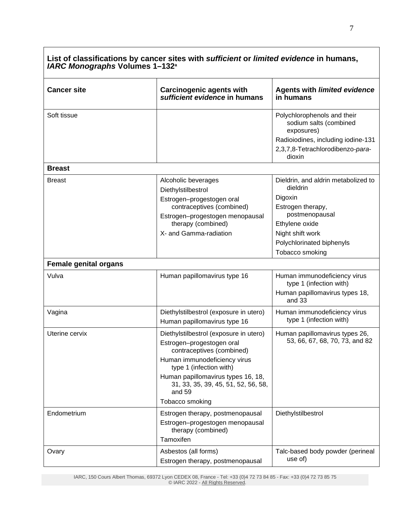| <b>Cancer site</b>           | <b>Carcinogenic agents with</b><br>sufficient evidence in humans                                                                                                                                                                                                      | <b>Agents with limited evidence</b><br>in humans                                                                    |
|------------------------------|-----------------------------------------------------------------------------------------------------------------------------------------------------------------------------------------------------------------------------------------------------------------------|---------------------------------------------------------------------------------------------------------------------|
| Soft tissue                  |                                                                                                                                                                                                                                                                       | Polychlorophenols and their<br>sodium salts (combined<br>exposures)                                                 |
|                              |                                                                                                                                                                                                                                                                       | Radioiodines, including iodine-131<br>2,3,7,8-Tetrachlorodibenzo-para-<br>dioxin                                    |
| <b>Breast</b>                |                                                                                                                                                                                                                                                                       |                                                                                                                     |
| <b>Breast</b>                | Alcoholic beverages<br>Diethylstilbestrol<br>Estrogen-progestogen oral<br>contraceptives (combined)<br>Estrogen-progestogen menopausal<br>therapy (combined)                                                                                                          | Dieldrin, and aldrin metabolized to<br>dieldrin<br>Digoxin<br>Estrogen therapy,<br>postmenopausal<br>Ethylene oxide |
|                              | X- and Gamma-radiation                                                                                                                                                                                                                                                | Night shift work<br>Polychlorinated biphenyls<br>Tobacco smoking                                                    |
| <b>Female genital organs</b> |                                                                                                                                                                                                                                                                       |                                                                                                                     |
| Vulva                        | Human papillomavirus type 16                                                                                                                                                                                                                                          | Human immunodeficiency virus<br>type 1 (infection with)<br>Human papillomavirus types 18,<br>and 33                 |
| Vagina                       | Diethylstilbestrol (exposure in utero)<br>Human papillomavirus type 16                                                                                                                                                                                                | Human immunodeficiency virus<br>type 1 (infection with)                                                             |
| Uterine cervix               | Diethylstilbestrol (exposure in utero)<br>Estrogen-progestogen oral<br>contraceptives (combined)<br>Human immunodeficiency virus<br>type 1 (infection with)<br>Human papillomavirus types 16, 18,<br>31, 33, 35, 39, 45, 51, 52, 56, 58,<br>and 59<br>Tobacco smoking | Human papillomavirus types 26,<br>53, 66, 67, 68, 70, 73, and 82                                                    |
| Endometrium                  | Estrogen therapy, postmenopausal<br>Estrogen-progestogen menopausal<br>therapy (combined)<br>Tamoxifen                                                                                                                                                                | Diethylstilbestrol                                                                                                  |
| Ovary                        | Asbestos (all forms)<br>Estrogen therapy, postmenopausal                                                                                                                                                                                                              | Talc-based body powder (perineal<br>use of)                                                                         |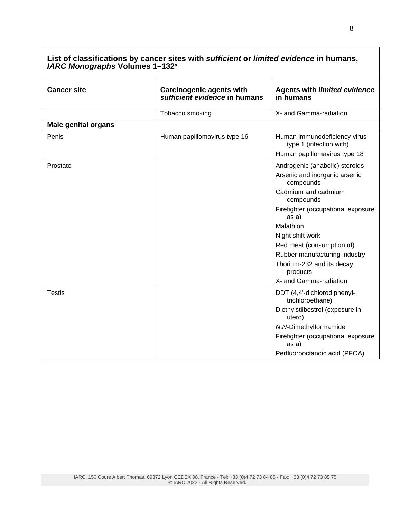| <b>Cancer site</b>         | <b>Carcinogenic agents with</b><br>sufficient evidence in humans | <b>Agents with limited evidence</b><br>in humans                             |
|----------------------------|------------------------------------------------------------------|------------------------------------------------------------------------------|
|                            | Tobacco smoking                                                  | X- and Gamma-radiation                                                       |
| <b>Male genital organs</b> |                                                                  |                                                                              |
| Penis                      | Human papillomavirus type 16                                     | Human immunodeficiency virus<br>type 1 (infection with)                      |
|                            |                                                                  | Human papillomavirus type 18                                                 |
| Prostate                   |                                                                  | Androgenic (anabolic) steroids<br>Arsenic and inorganic arsenic<br>compounds |
|                            |                                                                  | Cadmium and cadmium<br>compounds                                             |
|                            |                                                                  | Firefighter (occupational exposure<br>as a)                                  |
|                            |                                                                  | Malathion                                                                    |
|                            |                                                                  | Night shift work                                                             |
|                            |                                                                  | Red meat (consumption of)                                                    |
|                            |                                                                  | Rubber manufacturing industry                                                |
|                            |                                                                  | Thorium-232 and its decay<br>products                                        |
|                            |                                                                  | X- and Gamma-radiation                                                       |
| <b>Testis</b>              |                                                                  | DDT (4,4'-dichlorodiphenyl-<br>trichloroethane)                              |
|                            |                                                                  | Diethylstilbestrol (exposure in<br>utero)                                    |
|                            |                                                                  | N, N-Dimethylformamide                                                       |
|                            |                                                                  | Firefighter (occupational exposure<br>as a)                                  |
|                            |                                                                  | Perfluorooctanoic acid (PFOA)                                                |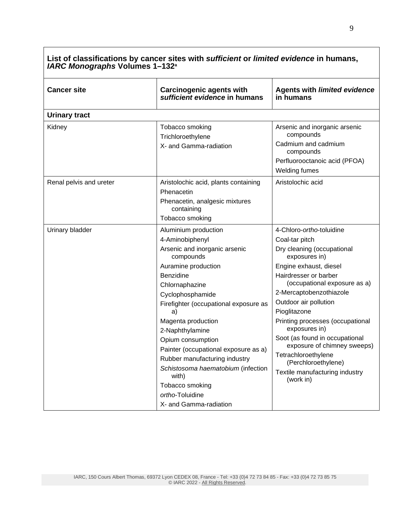| List of classifications by cancer sites with sufficient or limited evidence in humans,<br><b>IARC Monographs Volumes 1-132<sup>a</sup></b> |                                                                                                                                                                                                                                                                                                                                                                                                                                                                      |                                                                                                                                                                                                                                                                                                                                                                                                                                                                     |
|--------------------------------------------------------------------------------------------------------------------------------------------|----------------------------------------------------------------------------------------------------------------------------------------------------------------------------------------------------------------------------------------------------------------------------------------------------------------------------------------------------------------------------------------------------------------------------------------------------------------------|---------------------------------------------------------------------------------------------------------------------------------------------------------------------------------------------------------------------------------------------------------------------------------------------------------------------------------------------------------------------------------------------------------------------------------------------------------------------|
| <b>Cancer site</b>                                                                                                                         | <b>Carcinogenic agents with</b><br>sufficient evidence in humans                                                                                                                                                                                                                                                                                                                                                                                                     | <b>Agents with limited evidence</b><br>in humans                                                                                                                                                                                                                                                                                                                                                                                                                    |
| <b>Urinary tract</b>                                                                                                                       |                                                                                                                                                                                                                                                                                                                                                                                                                                                                      |                                                                                                                                                                                                                                                                                                                                                                                                                                                                     |
| Kidney                                                                                                                                     | Tobacco smoking<br>Trichloroethylene<br>X- and Gamma-radiation                                                                                                                                                                                                                                                                                                                                                                                                       | Arsenic and inorganic arsenic<br>compounds<br>Cadmium and cadmium<br>compounds<br>Perfluorooctanoic acid (PFOA)<br>Welding fumes                                                                                                                                                                                                                                                                                                                                    |
| Renal pelvis and ureter                                                                                                                    | Aristolochic acid, plants containing<br>Phenacetin<br>Phenacetin, analgesic mixtures<br>containing<br>Tobacco smoking                                                                                                                                                                                                                                                                                                                                                | Aristolochic acid                                                                                                                                                                                                                                                                                                                                                                                                                                                   |
| Urinary bladder                                                                                                                            | Aluminium production<br>4-Aminobiphenyl<br>Arsenic and inorganic arsenic<br>compounds<br>Auramine production<br>Benzidine<br>Chlornaphazine<br>Cyclophosphamide<br>Firefighter (occupational exposure as<br>a)<br>Magenta production<br>2-Naphthylamine<br>Opium consumption<br>Painter (occupational exposure as a)<br>Rubber manufacturing industry<br>Schistosoma haematobium (infection<br>with)<br>Tobacco smoking<br>ortho-Toluidine<br>X- and Gamma-radiation | 4-Chloro-ortho-toluidine<br>Coal-tar pitch<br>Dry cleaning (occupational<br>exposures in)<br>Engine exhaust, diesel<br>Hairdresser or barber<br>(occupational exposure as a)<br>2-Mercaptobenzothiazole<br>Outdoor air pollution<br>Pioglitazone<br>Printing processes (occupational<br>exposures in)<br>Soot (as found in occupational<br>exposure of chimney sweeps)<br>Tetrachloroethylene<br>(Perchloroethylene)<br>Textile manufacturing industry<br>(work in) |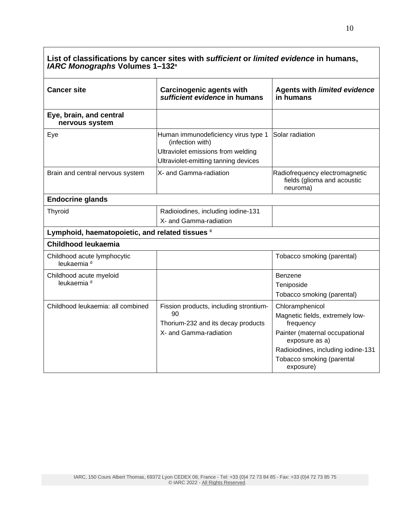| <b>Cancer site</b>                                    | <b>Carcinogenic agents with</b><br>sufficient evidence in humans | <b>Agents with limited evidence</b><br>in humans                          |
|-------------------------------------------------------|------------------------------------------------------------------|---------------------------------------------------------------------------|
| Eye, brain, and central<br>nervous system             |                                                                  |                                                                           |
| Eye                                                   | Human immunodeficiency virus type 1<br>(infection with)          | Solar radiation                                                           |
|                                                       | Ultraviolet emissions from welding                               |                                                                           |
|                                                       | Ultraviolet-emitting tanning devices                             |                                                                           |
| Brain and central nervous system                      | X- and Gamma-radiation                                           | Radiofrequency electromagnetic<br>fields (glioma and acoustic<br>neuroma) |
| <b>Endocrine glands</b>                               |                                                                  |                                                                           |
| Thyroid                                               | Radioiodines, including iodine-131                               |                                                                           |
|                                                       | X- and Gamma-radiation                                           |                                                                           |
| Lymphoid, haematopoietic, and related tissues c       |                                                                  |                                                                           |
| Childhood leukaemia                                   |                                                                  |                                                                           |
| Childhood acute lymphocytic<br>leukaemia <sup>d</sup> |                                                                  | Tobacco smoking (parental)                                                |
| Childhood acute myeloid                               |                                                                  | Benzene                                                                   |
| leukaemia <sup>d</sup>                                |                                                                  | Teniposide                                                                |
|                                                       |                                                                  | Tobacco smoking (parental)                                                |
| Childhood leukaemia: all combined                     | Fission products, including strontium-                           | Chloramphenicol                                                           |
|                                                       | 90                                                               | Magnetic fields, extremely low-                                           |
|                                                       | Thorium-232 and its decay products                               | frequency                                                                 |
|                                                       | X- and Gamma-radiation                                           | Painter (maternal occupational<br>exposure as a)                          |
|                                                       |                                                                  | Radioiodines, including iodine-131                                        |
|                                                       |                                                                  | Tobacco smoking (parental<br>exposure)                                    |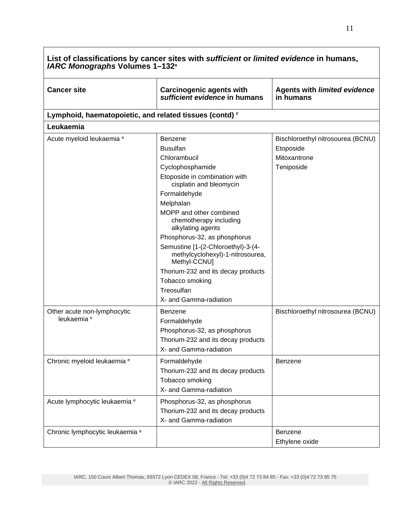| <b>Cancer site</b>                                      | <b>Carcinogenic agents with</b><br>sufficient evidence in humans                                                                                                                                                                                                                                                                                                                                                                                             | <b>Agents with limited evidence</b><br>in humans                             |
|---------------------------------------------------------|--------------------------------------------------------------------------------------------------------------------------------------------------------------------------------------------------------------------------------------------------------------------------------------------------------------------------------------------------------------------------------------------------------------------------------------------------------------|------------------------------------------------------------------------------|
| Lymphoid, haematopoietic, and related tissues (contd) c |                                                                                                                                                                                                                                                                                                                                                                                                                                                              |                                                                              |
| Leukaemia                                               |                                                                                                                                                                                                                                                                                                                                                                                                                                                              |                                                                              |
| Acute myeloid leukaemia e                               | Benzene<br><b>Busulfan</b><br>Chlorambucil<br>Cyclophosphamide<br>Etoposide in combination with<br>cisplatin and bleomycin<br>Formaldehyde<br>Melphalan<br>MOPP and other combined<br>chemotherapy including<br>alkylating agents<br>Phosphorus-32, as phosphorus<br>Semustine [1-(2-Chloroethyl)-3-(4-<br>methylcyclohexyl)-1-nitrosourea,<br>Methyl-CCNU]<br>Thorium-232 and its decay products<br>Tobacco smoking<br>Treosulfan<br>X- and Gamma-radiation | Bischloroethyl nitrosourea (BCNU)<br>Etoposide<br>Mitoxantrone<br>Teniposide |
| Other acute non-lymphocytic<br>leukaemia <sup>e</sup>   | <b>Benzene</b><br>Formaldehyde<br>Phosphorus-32, as phosphorus<br>Thorium-232 and its decay products<br>X- and Gamma-radiation                                                                                                                                                                                                                                                                                                                               | Bischloroethyl nitrosourea (BCNU)                                            |
| Chronic myeloid leukaemia e                             | Formaldehyde<br>Thorium-232 and its decay products<br>Tobacco smoking<br>X- and Gamma-radiation                                                                                                                                                                                                                                                                                                                                                              | <b>Benzene</b>                                                               |
| Acute lymphocytic leukaemia e                           | Phosphorus-32, as phosphorus<br>Thorium-232 and its decay products<br>X- and Gamma-radiation                                                                                                                                                                                                                                                                                                                                                                 |                                                                              |
| Chronic lymphocytic leukaemia e                         |                                                                                                                                                                                                                                                                                                                                                                                                                                                              | Benzene<br>Ethylene oxide                                                    |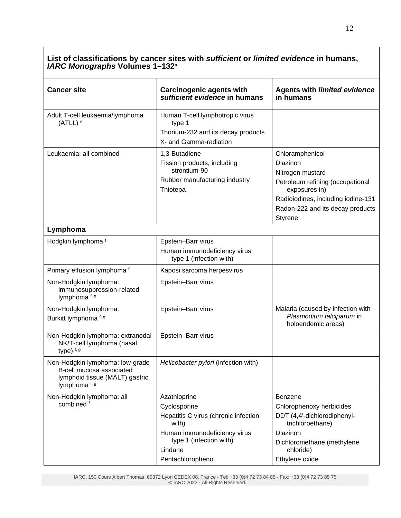| <b>Cancer site</b>                                                                                             | <b>Carcinogenic agents with</b><br>sufficient evidence in humans                                                                                                         | <b>Agents with limited evidence</b><br>in humans                                                                                                                                          |
|----------------------------------------------------------------------------------------------------------------|--------------------------------------------------------------------------------------------------------------------------------------------------------------------------|-------------------------------------------------------------------------------------------------------------------------------------------------------------------------------------------|
| Adult T-cell leukaemia/lymphoma<br>$(ATLL)$ <sup>e</sup>                                                       | Human T-cell lymphotropic virus<br>type 1<br>Thorium-232 and its decay products<br>X- and Gamma-radiation                                                                |                                                                                                                                                                                           |
| Leukaemia: all combined                                                                                        | 1,3-Butadiene<br>Fission products, including<br>strontium-90<br>Rubber manufacturing industry<br>Thiotepa                                                                | Chloramphenicol<br>Diazinon<br>Nitrogen mustard<br>Petroleum refining (occupational<br>exposures in)<br>Radioiodines, including iodine-131<br>Radon-222 and its decay products<br>Styrene |
| Lymphoma                                                                                                       |                                                                                                                                                                          |                                                                                                                                                                                           |
| Hodgkin lymphoma f                                                                                             | Epstein-Barr virus<br>Human immunodeficiency virus<br>type 1 (infection with)                                                                                            |                                                                                                                                                                                           |
| Primary effusion lymphoma <sup>f</sup>                                                                         | Kaposi sarcoma herpesvirus                                                                                                                                               |                                                                                                                                                                                           |
| Non-Hodgkin lymphoma:<br>immunosuppression-related<br>lymphoma f, g                                            | Epstein-Barr virus                                                                                                                                                       |                                                                                                                                                                                           |
| Non-Hodgkin lymphoma:<br>Burkitt lymphoma f, g                                                                 | Epstein-Barr virus                                                                                                                                                       | Malaria (caused by infection with<br>Plasmodium falciparum in<br>holoendemic areas)                                                                                                       |
| Non-Hodgkin lymphoma: extranodal<br>NK/T-cell lymphoma (nasal<br>type) f, g                                    | Epstein-Barr virus                                                                                                                                                       |                                                                                                                                                                                           |
| Non-Hodgkin lymphoma: low-grade<br>B-cell mucosa associated<br>lymphoid tissue (MALT) gastric<br>lymphoma f, g | Helicobacter pylori (infection with)                                                                                                                                     |                                                                                                                                                                                           |
| Non-Hodgkin lymphoma: all<br>combined <sup>f</sup>                                                             | Azathioprine<br>Cyclosporine<br>Hepatitis C virus (chronic infection<br>with)<br>Human immunodeficiency virus<br>type 1 (infection with)<br>Lindane<br>Pentachlorophenol | Benzene<br>Chlorophenoxy herbicides<br>DDT (4,4'-dichlorodiphenyl-<br>trichloroethane)<br>Diazinon<br>Dichloromethane (methylene<br>chloride)<br>Ethylene oxide                           |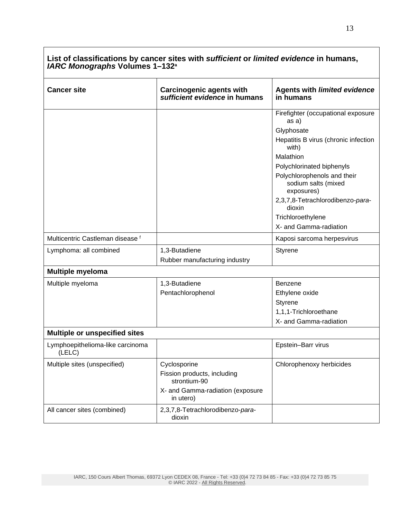| <b>Cancer site</b>                          | <b>Carcinogenic agents with</b><br>sufficient evidence in humans | <b>Agents with limited evidence</b><br>in humans                 |
|---------------------------------------------|------------------------------------------------------------------|------------------------------------------------------------------|
|                                             |                                                                  | Firefighter (occupational exposure<br>as a)                      |
|                                             |                                                                  | Glyphosate                                                       |
|                                             |                                                                  | Hepatitis B virus (chronic infection<br>with)                    |
|                                             |                                                                  | Malathion                                                        |
|                                             |                                                                  | Polychlorinated biphenyls                                        |
|                                             |                                                                  | Polychlorophenols and their<br>sodium salts (mixed<br>exposures) |
|                                             |                                                                  | 2,3,7,8-Tetrachlorodibenzo-para-<br>dioxin                       |
|                                             |                                                                  | Trichloroethylene                                                |
|                                             |                                                                  | X- and Gamma-radiation                                           |
| Multicentric Castleman disease <sup>f</sup> |                                                                  | Kaposi sarcoma herpesvirus                                       |
| Lymphoma: all combined                      | 1,3-Butadiene                                                    | Styrene                                                          |
|                                             | Rubber manufacturing industry                                    |                                                                  |
| <b>Multiple myeloma</b>                     |                                                                  |                                                                  |
| Multiple myeloma                            | 1,3-Butadiene                                                    | <b>Benzene</b>                                                   |
|                                             | Pentachlorophenol                                                | Ethylene oxide                                                   |
|                                             |                                                                  | <b>Styrene</b>                                                   |
|                                             |                                                                  | 1,1,1-Trichloroethane                                            |
|                                             |                                                                  | X- and Gamma-radiation                                           |
| <b>Multiple or unspecified sites</b>        |                                                                  |                                                                  |
| Lymphoepithelioma-like carcinoma<br>(LELC)  |                                                                  | Epstein-Barr virus                                               |
| Multiple sites (unspecified)                | Cyclosporine                                                     | Chlorophenoxy herbicides                                         |
|                                             | Fission products, including<br>strontium-90                      |                                                                  |
|                                             | X- and Gamma-radiation (exposure<br>in utero)                    |                                                                  |
| All cancer sites (combined)                 | 2,3,7,8-Tetrachlorodibenzo-para-<br>dioxin                       |                                                                  |